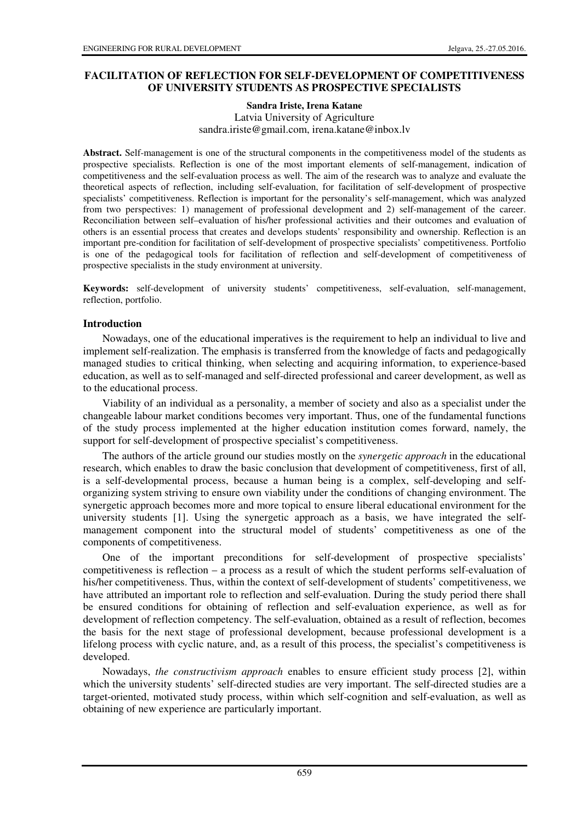# **FACILITATION OF REFLECTION FOR SELF-DEVELOPMENT OF COMPETITIVENESS OF UNIVERSITY STUDENTS AS PROSPECTIVE SPECIALISTS**

**Sandra Iriste, Irena Katane** 

Latvia University of Agriculture sandra.iriste@gmail.com, irena.katane@inbox.lv

Abstract. Self-management is one of the structural components in the competitiveness model of the students as prospective specialists. Reflection is one of the most important elements of self-management, indication of competitiveness and the self-evaluation process as well. The aim of the research was to analyze and evaluate the theoretical aspects of reflection, including self-evaluation, for facilitation of self-development of prospective specialists' competitiveness. Reflection is important for the personality's self-management, which was analyzed from two perspectives: 1) management of professional development and 2) self-management of the career. Reconciliation between self–evaluation of his/her professional activities and their outcomes and evaluation of others is an essential process that creates and develops students' responsibility and ownership. Reflection is an important pre-condition for facilitation of self-development of prospective specialists' competitiveness. Portfolio is one of the pedagogical tools for facilitation of reflection and self-development of competitiveness of prospective specialists in the study environment at university.

**Keywords:** self-development of university students' competitiveness, self-evaluation, self-management, reflection, portfolio.

## **Introduction**

Nowadays, one of the educational imperatives is the requirement to help an individual to live and implement self-realization. The emphasis is transferred from the knowledge of facts and pedagogically managed studies to critical thinking, when selecting and acquiring information, to experience-based education, as well as to self-managed and self-directed professional and career development, as well as to the educational process.

Viability of an individual as a personality, a member of society and also as a specialist under the changeable labour market conditions becomes very important. Thus, one of the fundamental functions of the study process implemented at the higher education institution comes forward, namely, the support for self-development of prospective specialist's competitiveness.

The authors of the article ground our studies mostly on the *synergetic approach* in the educational research, which enables to draw the basic conclusion that development of competitiveness, first of all, is a self-developmental process, because a human being is a complex, self-developing and selforganizing system striving to ensure own viability under the conditions of changing environment. The synergetic approach becomes more and more topical to ensure liberal educational environment for the university students [1]. Using the synergetic approach as a basis, we have integrated the selfmanagement component into the structural model of students' competitiveness as one of the components of competitiveness.

One of the important preconditions for self-development of prospective specialists' competitiveness is reflection – a process as a result of which the student performs self-evaluation of his/her competitiveness. Thus, within the context of self-development of students' competitiveness, we have attributed an important role to reflection and self-evaluation. During the study period there shall be ensured conditions for obtaining of reflection and self-evaluation experience, as well as for development of reflection competency. The self-evaluation, obtained as a result of reflection, becomes the basis for the next stage of professional development, because professional development is a lifelong process with cyclic nature, and, as a result of this process, the specialist's competitiveness is developed.

Nowadays, *the constructivism approach* enables to ensure efficient study process [2], within which the university students' self-directed studies are very important. The self-directed studies are a target-oriented, motivated study process, within which self-cognition and self-evaluation, as well as obtaining of new experience are particularly important.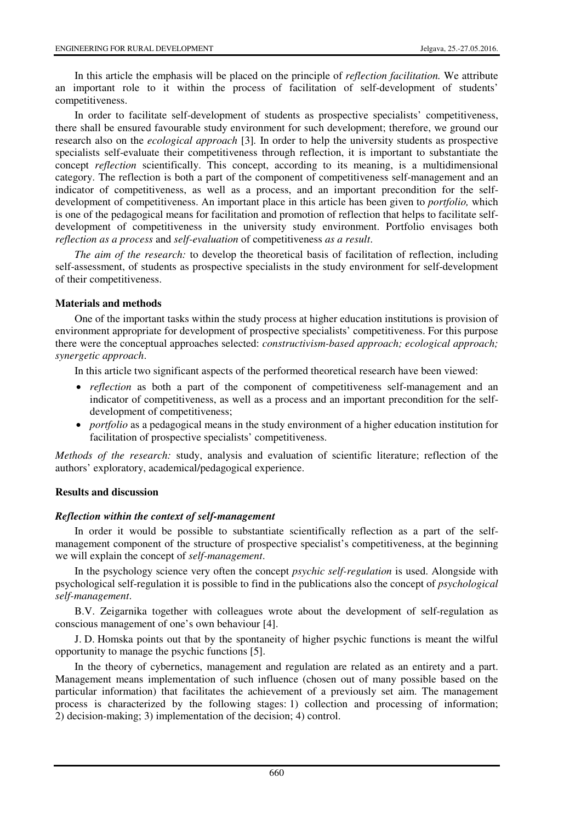In this article the emphasis will be placed on the principle of *reflection facilitation.* We attribute an important role to it within the process of facilitation of self-development of students' competitiveness.

In order to facilitate self-development of students as prospective specialists' competitiveness, there shall be ensured favourable study environment for such development; therefore, we ground our research also on the *ecological approach* [3]*.* In order to help the university students as prospective specialists self-evaluate their competitiveness through reflection, it is important to substantiate the concept *reflection* scientifically. This concept, according to its meaning, is a multidimensional category. The reflection is both a part of the component of competitiveness self-management and an indicator of competitiveness, as well as a process, and an important precondition for the selfdevelopment of competitiveness. An important place in this article has been given to *portfolio,* which is one of the pedagogical means for facilitation and promotion of reflection that helps to facilitate selfdevelopment of competitiveness in the university study environment. Portfolio envisages both *reflection as a process* and *self-evaluation* of competitiveness *as a result*.

*The aim of the research:* to develop the theoretical basis of facilitation of reflection, including self-assessment, of students as prospective specialists in the study environment for self-development of their competitiveness.

## **Materials and methods**

One of the important tasks within the study process at higher education institutions is provision of environment appropriate for development of prospective specialists' competitiveness. For this purpose there were the conceptual approaches selected: *constructivism-based approach; ecological approach; synergetic approach*.

In this article two significant aspects of the performed theoretical research have been viewed:

- *reflection* as both a part of the component of competitiveness self-management and an indicator of competitiveness, as well as a process and an important precondition for the selfdevelopment of competitiveness;
- *portfolio* as a pedagogical means in the study environment of a higher education institution for facilitation of prospective specialists' competitiveness.

*Methods of the research:* study, analysis and evaluation of scientific literature; reflection of the authors' exploratory, academical/pedagogical experience.

## **Results and discussion**

## *Reflection within the context of self-management*

In order it would be possible to substantiate scientifically reflection as a part of the selfmanagement component of the structure of prospective specialist's competitiveness, at the beginning we will explain the concept of *self-management*.

In the psychology science very often the concept *psychic self-regulation* is used. Alongside with psychological self-regulation it is possible to find in the publications also the concept of *psychological self-management*.

B.V. Zeigarnika together with colleagues wrote about the development of self-regulation as conscious management of one's own behaviour [4].

J. D. Homska points out that by the spontaneity of higher psychic functions is meant the wilful opportunity to manage the psychic functions [5].

In the theory of cybernetics, management and regulation are related as an entirety and a part. Management means implementation of such influence (chosen out of many possible based on the particular information) that facilitates the achievement of a previously set aim. The management process is characterized by the following stages: 1) collection and processing of information; 2) decision-making; 3) implementation of the decision; 4) control.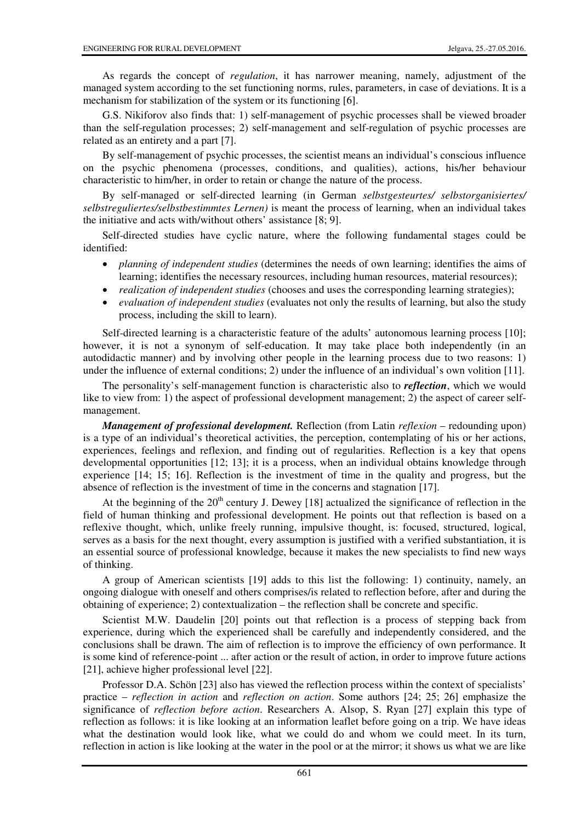As regards the concept of *regulation*, it has narrower meaning, namely, adjustment of the managed system according to the set functioning norms, rules, parameters, in case of deviations. It is a mechanism for stabilization of the system or its functioning [6].

G.S. Nikiforov also finds that: 1) self-management of psychic processes shall be viewed broader than the self-regulation processes; 2) self-management and self-regulation of psychic processes are related as an entirety and a part [7].

By self-management of psychic processes, the scientist means an individual's conscious influence on the psychic phenomena (processes, conditions, and qualities), actions, his/her behaviour characteristic to him/her, in order to retain or change the nature of the process.

By self-managed or self-directed learning (in German *selbstgesteurtes/ selbstorganisiertes/ selbstreguliertes/selbstbestimmtes Lernen)* is meant the process of learning, when an individual takes the initiative and acts with/without others' assistance [8; 9].

Self-directed studies have cyclic nature, where the following fundamental stages could be identified:

- *planning of independent studies* (determines the needs of own learning; identifies the aims of learning; identifies the necessary resources, including human resources, material resources);
- *realization of independent studies* (chooses and uses the corresponding learning strategies);
- *evaluation of independent studies* (evaluates not only the results of learning, but also the study process, including the skill to learn).

Self-directed learning is a characteristic feature of the adults' autonomous learning process [10]; however, it is not a synonym of self-education. It may take place both independently (in an autodidactic manner) and by involving other people in the learning process due to two reasons: 1) under the influence of external conditions; 2) under the influence of an individual's own volition [11].

The personality's self-management function is characteristic also to *reflection*, which we would like to view from: 1) the aspect of professional development management; 2) the aspect of career selfmanagement.

*Management of professional development.* Reflection (from Latin *reflexion* – redounding upon) is a type of an individual's theoretical activities, the perception, contemplating of his or her actions, experiences, feelings and reflexion, and finding out of regularities. Reflection is a key that opens developmental opportunities [12; 13]; it is a process, when an individual obtains knowledge through experience [14; 15; 16]. Reflection is the investment of time in the quality and progress, but the absence of reflection is the investment of time in the concerns and stagnation [17].

At the beginning of the  $20<sup>th</sup>$  century J. Dewey [18] actualized the significance of reflection in the field of human thinking and professional development. He points out that reflection is based on a reflexive thought, which, unlike freely running, impulsive thought, is: focused, structured, logical, serves as a basis for the next thought, every assumption is justified with a verified substantiation, it is an essential source of professional knowledge, because it makes the new specialists to find new ways of thinking.

A group of American scientists [19] adds to this list the following: 1) continuity, namely, an ongoing dialogue with oneself and others comprises/is related to reflection before, after and during the obtaining of experience; 2) contextualization – the reflection shall be concrete and specific.

Scientist M.W. Daudelin [20] points out that reflection is a process of stepping back from experience, during which the experienced shall be carefully and independently considered, and the conclusions shall be drawn. The aim of reflection is to improve the efficiency of own performance. It is some kind of reference-point ... after action or the result of action, in order to improve future actions [21], achieve higher professional level [22].

Professor D.A. Schön [23] also has viewed the reflection process within the context of specialists' practice – *reflection in action* and *reflection on action*. Some authors [24; 25; 26] emphasize the significance of *reflection before action*. Researchers A. Alsop, S. Ryan [27] explain this type of reflection as follows: it is like looking at an information leaflet before going on a trip. We have ideas what the destination would look like, what we could do and whom we could meet. In its turn, reflection in action is like looking at the water in the pool or at the mirror; it shows us what we are like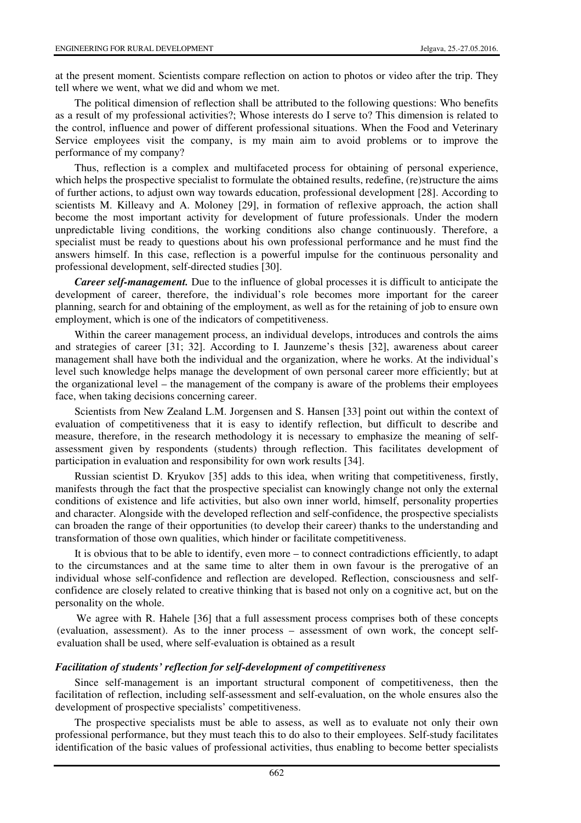at the present moment. Scientists compare reflection on action to photos or video after the trip. They tell where we went, what we did and whom we met.

The political dimension of reflection shall be attributed to the following questions: Who benefits as a result of my professional activities?; Whose interests do I serve to? This dimension is related to the control, influence and power of different professional situations. When the Food and Veterinary Service employees visit the company, is my main aim to avoid problems or to improve the performance of my company?

Thus, reflection is a complex and multifaceted process for obtaining of personal experience, which helps the prospective specialist to formulate the obtained results, redefine, (re)structure the aims of further actions, to adjust own way towards education, professional development [28]. According to scientists M. Killeavy and A. Moloney [29], in formation of reflexive approach, the action shall become the most important activity for development of future professionals. Under the modern unpredictable living conditions, the working conditions also change continuously. Therefore, a specialist must be ready to questions about his own professional performance and he must find the answers himself. In this case, reflection is a powerful impulse for the continuous personality and professional development, self-directed studies [30].

*Career self-management.* Due to the influence of global processes it is difficult to anticipate the development of career, therefore, the individual's role becomes more important for the career planning, search for and obtaining of the employment, as well as for the retaining of job to ensure own employment, which is one of the indicators of competitiveness.

Within the career management process, an individual develops, introduces and controls the aims and strategies of career [31; 32]. According to I. Jaunzeme's thesis [32], awareness about career management shall have both the individual and the organization, where he works. At the individual's level such knowledge helps manage the development of own personal career more efficiently; but at the organizational level – the management of the company is aware of the problems their employees face, when taking decisions concerning career.

Scientists from New Zealand L.M. Jorgensen and S. Hansen [33] point out within the context of evaluation of competitiveness that it is easy to identify reflection, but difficult to describe and measure, therefore, in the research methodology it is necessary to emphasize the meaning of selfassessment given by respondents (students) through reflection. This facilitates development of participation in evaluation and responsibility for own work results [34].

Russian scientist D. Kryukov [35] adds to this idea, when writing that competitiveness, firstly, manifests through the fact that the prospective specialist can knowingly change not only the external conditions of existence and life activities, but also own inner world, himself, personality properties and character. Alongside with the developed reflection and self-confidence, the prospective specialists can broaden the range of their opportunities (to develop their career) thanks to the understanding and transformation of those own qualities, which hinder or facilitate competitiveness.

It is obvious that to be able to identify, even more – to connect contradictions efficiently, to adapt to the circumstances and at the same time to alter them in own favour is the prerogative of an individual whose self-confidence and reflection are developed. Reflection, consciousness and selfconfidence are closely related to creative thinking that is based not only on a cognitive act, but on the personality on the whole.

We agree with R. Hahele [36] that a full assessment process comprises both of these concepts (evaluation, assessment). As to the inner process – assessment of own work, the concept selfevaluation shall be used, where self-evaluation is obtained as a result

#### *Facilitation of students' reflection for self-development of competitiveness*

Since self-management is an important structural component of competitiveness, then the facilitation of reflection, including self-assessment and self-evaluation, on the whole ensures also the development of prospective specialists' competitiveness.

The prospective specialists must be able to assess, as well as to evaluate not only their own professional performance, but they must teach this to do also to their employees. Self-study facilitates identification of the basic values of professional activities, thus enabling to become better specialists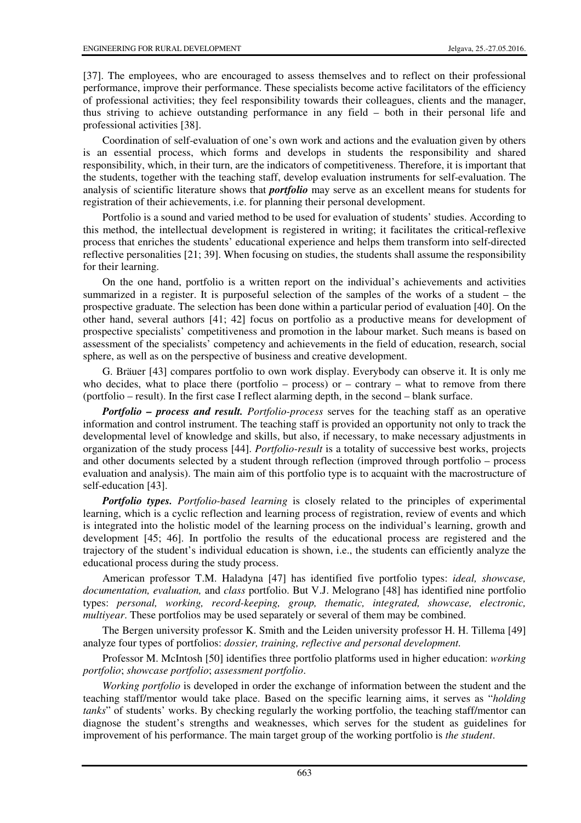[37]. The employees, who are encouraged to assess themselves and to reflect on their professional performance, improve their performance. These specialists become active facilitators of the efficiency of professional activities; they feel responsibility towards their colleagues, clients and the manager, thus striving to achieve outstanding performance in any field – both in their personal life and professional activities [38].

Coordination of self-evaluation of one's own work and actions and the evaluation given by others is an essential process, which forms and develops in students the responsibility and shared responsibility, which, in their turn, are the indicators of competitiveness. Therefore, it is important that the students, together with the teaching staff, develop evaluation instruments for self-evaluation. The analysis of scientific literature shows that *portfolio* may serve as an excellent means for students for registration of their achievements, i.e. for planning their personal development.

Portfolio is a sound and varied method to be used for evaluation of students' studies. According to this method, the intellectual development is registered in writing; it facilitates the critical-reflexive process that enriches the students' educational experience and helps them transform into self-directed reflective personalities [21; 39]. When focusing on studies, the students shall assume the responsibility for their learning.

On the one hand, portfolio is a written report on the individual's achievements and activities summarized in a register. It is purposeful selection of the samples of the works of a student – the prospective graduate. The selection has been done within a particular period of evaluation [40]. On the other hand, several authors [41; 42] focus on portfolio as a productive means for development of prospective specialists' competitiveness and promotion in the labour market. Such means is based on assessment of the specialists' competency and achievements in the field of education, research, social sphere, as well as on the perspective of business and creative development.

G. Bräuer [43] compares portfolio to own work display. Everybody can observe it. It is only me who decides, what to place there (portfolio – process) or – contrary – what to remove from there (portfolio – result). In the first case I reflect alarming depth, in the second – blank surface.

*Portfolio – process and result. Portfolio-process* serves for the teaching staff as an operative information and control instrument. The teaching staff is provided an opportunity not only to track the developmental level of knowledge and skills, but also, if necessary, to make necessary adjustments in organization of the study process [44]. *Portfolio-result* is a totality of successive best works, projects and other documents selected by a student through reflection (improved through portfolio – process evaluation and analysis). The main aim of this portfolio type is to acquaint with the macrostructure of self-education [43].

*Portfolio types. Portfolio-based learning* is closely related to the principles of experimental learning, which is a cyclic reflection and learning process of registration, review of events and which is integrated into the holistic model of the learning process on the individual's learning, growth and development [45; 46]. In portfolio the results of the educational process are registered and the trajectory of the student's individual education is shown, i.e., the students can efficiently analyze the educational process during the study process.

American professor T.M. Haladyna [47] has identified five portfolio types: *ideal, showcase, documentation, evaluation,* and *class* portfolio. But V.J. Melograno [48] has identified nine portfolio types: *personal, working, record-keeping, group, thematic, integrated, showcase, electronic, multiyear*. These portfolios may be used separately or several of them may be combined.

The Bergen university professor K. Smith and the Leiden university professor H. H. Tillema [49] analyze four types of portfolios: *dossier, training, reflective and personal development.*

Professor M. McIntosh [50] identifies three portfolio platforms used in higher education: *working portfolio*; *showcase portfolio*; *assessment portfolio*.

*Working portfolio* is developed in order the exchange of information between the student and the teaching staff/mentor would take place. Based on the specific learning aims, it serves as "*holding tanks*" of students' works. By checking regularly the working portfolio, the teaching staff/mentor can diagnose the student's strengths and weaknesses, which serves for the student as guidelines for improvement of his performance. The main target group of the working portfolio is *the student*.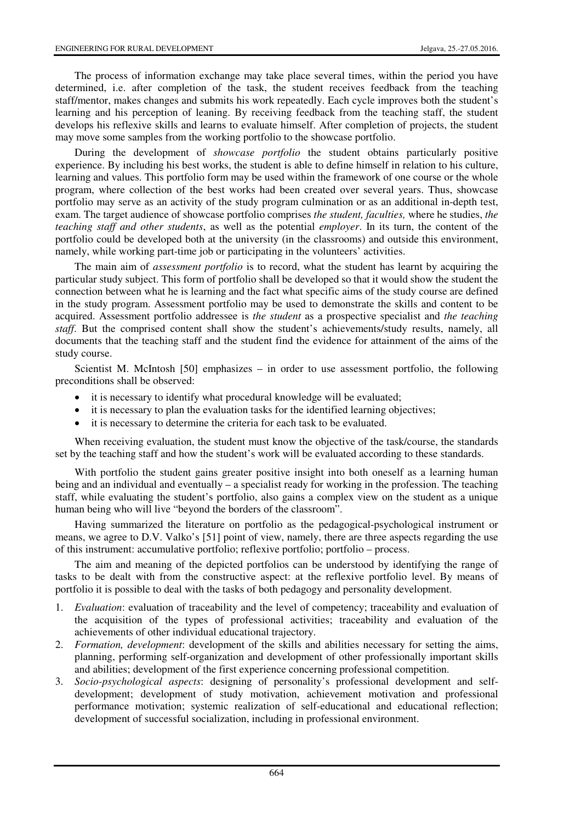The process of information exchange may take place several times, within the period you have determined, i.e. after completion of the task, the student receives feedback from the teaching staff/mentor, makes changes and submits his work repeatedly. Each cycle improves both the student's learning and his perception of leaning. By receiving feedback from the teaching staff, the student develops his reflexive skills and learns to evaluate himself. After completion of projects, the student may move some samples from the working portfolio to the showcase portfolio.

During the development of *showcase portfolio* the student obtains particularly positive experience. By including his best works, the student is able to define himself in relation to his culture, learning and values. This portfolio form may be used within the framework of one course or the whole program, where collection of the best works had been created over several years. Thus, showcase portfolio may serve as an activity of the study program culmination or as an additional in-depth test, exam. The target audience of showcase portfolio comprises *the student, faculties,* where he studies, *the teaching staff and other students*, as well as the potential *employer*. In its turn, the content of the portfolio could be developed both at the university (in the classrooms) and outside this environment, namely, while working part-time job or participating in the volunteers' activities.

The main aim of *assessment portfolio* is to record, what the student has learnt by acquiring the particular study subject. This form of portfolio shall be developed so that it would show the student the connection between what he is learning and the fact what specific aims of the study course are defined in the study program. Assessment portfolio may be used to demonstrate the skills and content to be acquired. Assessment portfolio addressee is *the student* as a prospective specialist and *the teaching staff*. But the comprised content shall show the student's achievements/study results, namely, all documents that the teaching staff and the student find the evidence for attainment of the aims of the study course.

Scientist M. McIntosh [50] emphasizes – in order to use assessment portfolio, the following preconditions shall be observed:

- it is necessary to identify what procedural knowledge will be evaluated;
- it is necessary to plan the evaluation tasks for the identified learning objectives;
- it is necessary to determine the criteria for each task to be evaluated.

When receiving evaluation, the student must know the objective of the task/course, the standards set by the teaching staff and how the student's work will be evaluated according to these standards.

With portfolio the student gains greater positive insight into both oneself as a learning human being and an individual and eventually – a specialist ready for working in the profession. The teaching staff, while evaluating the student's portfolio, also gains a complex view on the student as a unique human being who will live "beyond the borders of the classroom".

Having summarized the literature on portfolio as the pedagogical-psychological instrument or means, we agree to D.V. Valko's [51] point of view, namely, there are three aspects regarding the use of this instrument: accumulative portfolio; reflexive portfolio; portfolio – process.

The aim and meaning of the depicted portfolios can be understood by identifying the range of tasks to be dealt with from the constructive aspect: at the reflexive portfolio level. By means of portfolio it is possible to deal with the tasks of both pedagogy and personality development.

- 1. *Evaluation*: evaluation of traceability and the level of competency; traceability and evaluation of the acquisition of the types of professional activities; traceability and evaluation of the achievements of other individual educational trajectory.
- 2. *Formation, development*: development of the skills and abilities necessary for setting the aims, planning, performing self-organization and development of other professionally important skills and abilities; development of the first experience concerning professional competition.
- 3. *Socio-psychological aspects*: designing of personality's professional development and selfdevelopment; development of study motivation, achievement motivation and professional performance motivation; systemic realization of self-educational and educational reflection; development of successful socialization, including in professional environment.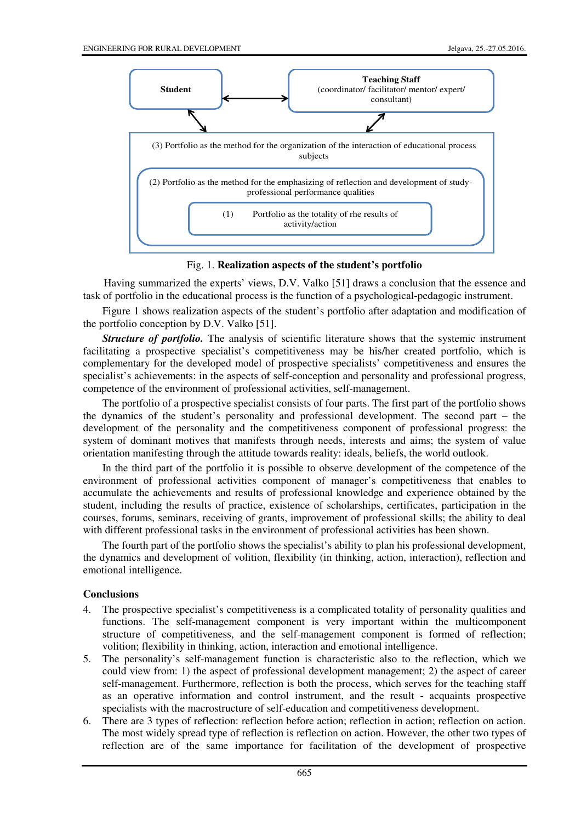

Fig. 1. **Realization aspects of the student's portfolio**

Having summarized the experts' views, D.V. Valko [51] draws a conclusion that the essence and task of portfolio in the educational process is the function of a psychological-pedagogic instrument.

Figure 1 shows realization aspects of the student's portfolio after adaptation and modification of the portfolio conception by D.V. Valko [51].

**Structure of portfolio.** The analysis of scientific literature shows that the systemic instrument facilitating a prospective specialist's competitiveness may be his/her created portfolio, which is complementary for the developed model of prospective specialists' competitiveness and ensures the specialist's achievements: in the aspects of self-conception and personality and professional progress, competence of the environment of professional activities, self-management.

The portfolio of a prospective specialist consists of four parts. The first part of the portfolio shows the dynamics of the student's personality and professional development. The second part – the development of the personality and the competitiveness component of professional progress: the system of dominant motives that manifests through needs, interests and aims; the system of value orientation manifesting through the attitude towards reality: ideals, beliefs, the world outlook.

In the third part of the portfolio it is possible to observe development of the competence of the environment of professional activities component of manager's competitiveness that enables to accumulate the achievements and results of professional knowledge and experience obtained by the student, including the results of practice, existence of scholarships, certificates, participation in the courses, forums, seminars, receiving of grants, improvement of professional skills; the ability to deal with different professional tasks in the environment of professional activities has been shown.

The fourth part of the portfolio shows the specialist's ability to plan his professional development, the dynamics and development of volition, flexibility (in thinking, action, interaction), reflection and emotional intelligence.

#### **Conclusions**

- 4. The prospective specialist's competitiveness is a complicated totality of personality qualities and functions. The self-management component is very important within the multicomponent structure of competitiveness, and the self-management component is formed of reflection; volition; flexibility in thinking, action, interaction and emotional intelligence.
- 5. The personality's self-management function is characteristic also to the reflection, which we could view from: 1) the aspect of professional development management; 2) the aspect of career self-management. Furthermore, reflection is both the process, which serves for the teaching staff as an operative information and control instrument, and the result - acquaints prospective specialists with the macrostructure of self-education and competitiveness development.
- 6. There are 3 types of reflection: reflection before action; reflection in action; reflection on action. The most widely spread type of reflection is reflection on action. However, the other two types of reflection are of the same importance for facilitation of the development of prospective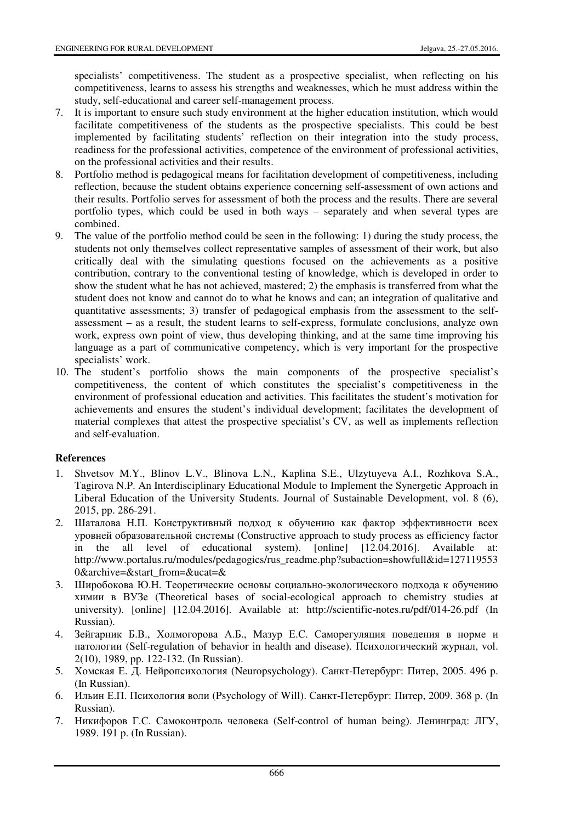specialists' competitiveness. The student as a prospective specialist, when reflecting on his competitiveness, learns to assess his strengths and weaknesses, which he must address within the study, self-educational and career self-management process.

- 7. It is important to ensure such study environment at the higher education institution, which would facilitate competitiveness of the students as the prospective specialists. This could be best implemented by facilitating students' reflection on their integration into the study process, readiness for the professional activities, competence of the environment of professional activities, on the professional activities and their results.
- 8. Portfolio method is pedagogical means for facilitation development of competitiveness, including reflection, because the student obtains experience concerning self-assessment of own actions and their results. Portfolio serves for assessment of both the process and the results. There are several portfolio types, which could be used in both ways – separately and when several types are combined.
- 9. The value of the portfolio method could be seen in the following: 1) during the study process, the students not only themselves collect representative samples of assessment of their work, but also critically deal with the simulating questions focused on the achievements as a positive contribution, contrary to the conventional testing of knowledge, which is developed in order to show the student what he has not achieved, mastered; 2) the emphasis is transferred from what the student does not know and cannot do to what he knows and can; an integration of qualitative and quantitative assessments; 3) transfer of pedagogical emphasis from the assessment to the selfassessment – as a result, the student learns to self-express, formulate conclusions, analyze own work, express own point of view, thus developing thinking, and at the same time improving his language as a part of communicative competency, which is very important for the prospective specialists' work.
- 10. The student's portfolio shows the main components of the prospective specialist's competitiveness, the content of which constitutes the specialist's competitiveness in the environment of professional education and activities. This facilitates the student's motivation for achievements and ensures the student's individual development; facilitates the development of material complexes that attest the prospective specialist's CV, as well as implements reflection and self-evaluation.

## **References**

- 1. Shvetsov M.Y., Blinov L.V., Blinova L.N., Kaplina S.E., Ulzytuyeva A.I., Rozhkova S.A., Tagirova N.P. An Interdisciplinary Educational Module to Implement the Synergetic Approach in Liberal Education of the University Students. Journal of Sustainable Development, vol. 8 (6), 2015, pp. 286-291.
- 2. Шаталова Н.П. Конструктивный подход к обучению как фактор эффективности всех уровней образовательной системы (Constructive approach to study process as efficiency factor in the all level of educational system). [online] [12.04.2016]. Available at: http://www.portalus.ru/modules/pedagogics/rus\_readme.php?subaction=showfull&id=127119553 0&archive=&start\_from=&ucat=&
- 3. Широбокова Ю.Н. Теоретические основы социально-экологического подхода к обучению химии в ВУЗе (Theoretical bases of social-ecological approach to chemistry studies at university). [online] [12.04.2016]. Available at: http://scientific-notes.ru/pdf/014-26.pdf (In Russian).
- 4. Зейгарник Б.В., Холмогорова А.Б., Мазур Е.С. Саморегуляция поведения в норме и патологии (Self-regulation of behavior in health and disease). Психологический журнал, vol. 2(10), 1989, pp. 122-132. (In Russian).
- 5. Хомская Е. Д. Нейропсихология (Neuropsychology). Санкт-Петербург: Питер, 2005. 496 p. (In Russian).
- 6. Ильин Е.П. Психология воли (Psychology of Will). Санкт-Петербург: Питер, 2009. 368 p. (In Russian).
- 7. Никифоров Г.С. Самоконтроль человека (Self-control of human being). Ленинград: ЛГУ, 1989. 191 p. (In Russian).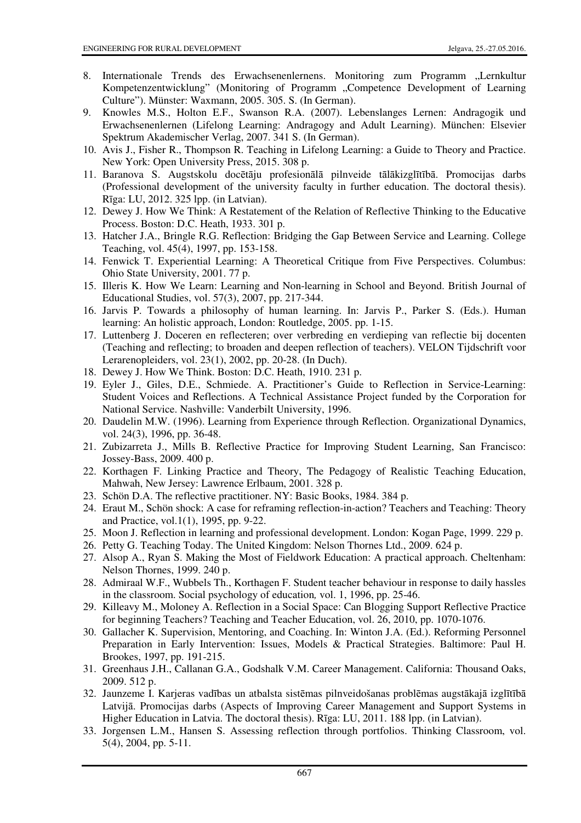- 8. Internationale Trends des Erwachsenenlernens. Monitoring zum Programm "Lernkultur Kompetenzentwicklung" (Monitoring of Programm "Competence Development of Learning Culture"). Münster: Waxmann, 2005. 305. S. (In German).
- 9. Knowles M.S., Holton E.F., Swanson R.A. (2007). Lebenslanges Lernen: Andragogik und Erwachsenenlernen (Lifelong Learning: Andragogy and Adult Learning). München: Elsevier Spektrum Akademischer Verlag, 2007. 341 S. (In German).
- 10. Avis J., Fisher R., Thompson R. Teaching in Lifelong Learning: a Guide to Theory and Practice. New York: Open University Press, 2015. 308 p.
- 11. Baranova S. Augstskolu docētāju profesionālā pilnveide tālākizglītībā. Promocijas darbs (Professional development of the university faculty in further education. The doctoral thesis). Rīga: LU, 2012. 325 lpp. (in Latvian).
- 12. Dewey J. How We Think: A Restatement of the Relation of Reflective Thinking to the Educative Process. Boston: D.C. Heath, 1933. 301 p.
- 13. Hatcher J.A., Bringle R.G. Reflection: Bridging the Gap Between Service and Learning. College Teaching, vol. 45(4), 1997, pp. 153-158.
- 14. Fenwick T. Experiential Learning: A Theoretical Critique from Five Perspectives. Columbus: Ohio State University, 2001. 77 p.
- 15. Illeris K. How We Learn: Learning and Non-learning in School and Beyond. British Journal of Educational Studies, vol. 57(3), 2007, pp. 217-344.
- 16. Jarvis P. Towards a philosophy of human learning. In: Jarvis P., Parker S. (Eds.). Human learning: An holistic approach, London: Routledge, 2005. pp. 1-15.
- 17. Luttenberg J. Doceren en reflecteren; over verbreding en verdieping van reflectie bij docenten (Teaching and reflecting; to broaden and deepen reflection of teachers). VELON Tijdschrift voor Lerarenopleiders, vol. 23(1), 2002, pp. 20-28. (In Duch).
- 18. Dewey J. How We Think. Boston: D.C. Heath, 1910. 231 p.
- 19. Eyler J., Giles, D.E., Schmiede. A. Practitioner's Guide to Reflection in Service-Learning: Student Voices and Reflections. A Technical Assistance Project funded by the Corporation for National Service. Nashville: Vanderbilt University, 1996.
- 20. Daudelin M.W. (1996). Learning from Experience through Reflection. Organizational Dynamics, vol. 24(3), 1996, pp. 36-48.
- 21. Zubizarreta J., Mills B. Reflective Practice for Improving Student Learning, San Francisco: Jossey-Bass, 2009. 400 p.
- 22. Korthagen F. Linking Practice and Theory, The Pedagogy of Realistic Teaching Education, Mahwah, New Jersey: Lawrence Erlbaum, 2001. 328 p.
- 23. Schön D.A. The reflective practitioner. NY: Basic Books, 1984. 384 p.
- 24. Eraut M., Schön shock: A case for reframing reflection-in-action? Teachers and Teaching: Theory and Practice, vol.1(1), 1995, pp. 9-22.
- 25. Moon J. Reflection in learning and professional development. London: Kogan Page, 1999. 229 p.
- 26. Petty G. Teaching Today. The United Kingdom: Nelson Thornes Ltd., 2009. 624 p.
- 27. Alsop A., Ryan S. Making the Most of Fieldwork Education: A practical approach. Cheltenham: Nelson Thornes, 1999. 240 p.
- 28. Admiraal W.F., Wubbels Th., Korthagen F. Student teacher behaviour in response to daily hassles in the classroom. Social psychology of education*,* vol. 1, 1996, pp. 25-46.
- 29. Killeavy M., Moloney A. Reflection in a Social Space: Can Blogging Support Reflective Practice for beginning Teachers? Teaching and Teacher Education, vol. 26, 2010, pp. 1070-1076.
- 30. Gallacher K. Supervision, Mentoring, and Coaching. In: Winton J.A. (Ed.). Reforming Personnel Preparation in Early Intervention: Issues, Models & Practical Strategies. Baltimore: Paul H. Brookes, 1997, pp. 191-215.
- 31. Greenhaus J.H., Callanan G.A., Godshalk V.M. Career Management. California: Thousand Oaks, 2009. 512 p.
- 32. Jaunzeme I. Karjeras vadības un atbalsta sistēmas pilnveidošanas problēmas augstākajā izglītībā Latvijā. Promocijas darbs (Aspects of Improving Career Management and Support Systems in Higher Education in Latvia. The doctoral thesis). Rīga: LU, 2011. 188 lpp. (in Latvian).
- 33. Jorgensen L.M., Hansen S. Assessing reflection through portfolios. Thinking Classroom, vol. 5(4), 2004, pp. 5-11.